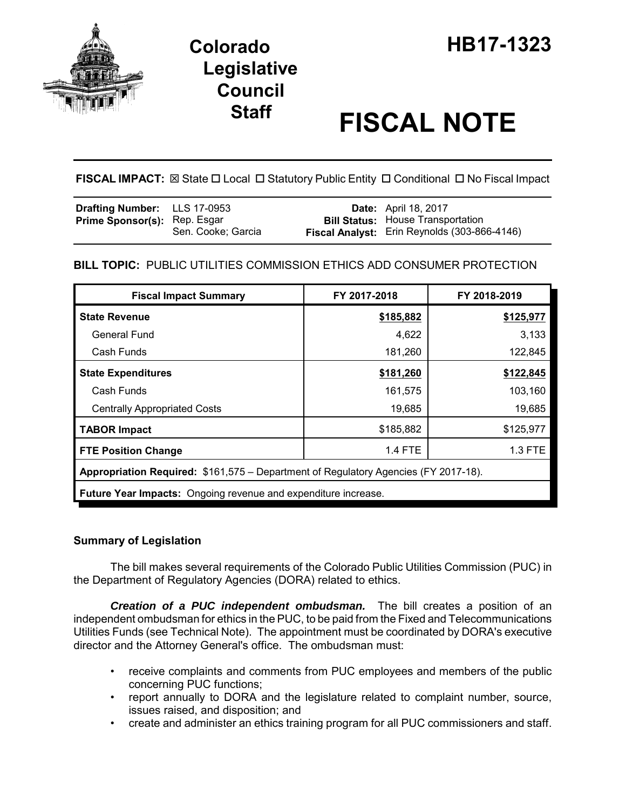

# **Legislative Council**

## **Staff FISCAL NOTE**

**FISCAL IMPACT:** ⊠ State □ Local □ Statutory Public Entity □ Conditional □ No Fiscal Impact

| <b>Drafting Number:</b> LLS 17-0953 |                    | <b>Date:</b> April 18, 2017                  |
|-------------------------------------|--------------------|----------------------------------------------|
| <b>Prime Sponsor(s): Rep. Esgar</b> |                    | <b>Bill Status:</b> House Transportation     |
|                                     | Sen. Cooke; Garcia | Fiscal Analyst: Erin Reynolds (303-866-4146) |

### **BILL TOPIC:** PUBLIC UTILITIES COMMISSION ETHICS ADD CONSUMER PROTECTION

| <b>Fiscal Impact Summary</b>                                                        | FY 2017-2018   | FY 2018-2019 |  |  |  |
|-------------------------------------------------------------------------------------|----------------|--------------|--|--|--|
| <b>State Revenue</b>                                                                | \$185,882      | \$125,977    |  |  |  |
| General Fund                                                                        | 4,622          | 3,133        |  |  |  |
| Cash Funds                                                                          | 181,260        | 122,845      |  |  |  |
| <b>State Expenditures</b>                                                           | \$181,260      | \$122,845    |  |  |  |
| Cash Funds                                                                          | 161,575        | 103,160      |  |  |  |
| <b>Centrally Appropriated Costs</b>                                                 | 19,685         | 19,685       |  |  |  |
| <b>TABOR Impact</b>                                                                 | \$185,882      | \$125,977    |  |  |  |
| <b>FTE Position Change</b>                                                          | <b>1.4 FTE</b> | 1.3 FTE      |  |  |  |
| Appropriation Required: \$161,575 – Department of Regulatory Agencies (FY 2017-18). |                |              |  |  |  |
| Future Year Impacts: Ongoing revenue and expenditure increase.                      |                |              |  |  |  |

#### **Summary of Legislation**

The bill makes several requirements of the Colorado Public Utilities Commission (PUC) in the Department of Regulatory Agencies (DORA) related to ethics.

*Creation of a PUC independent ombudsman.* The bill creates a position of an independent ombudsman for ethics in the PUC, to be paid from the Fixed and Telecommunications Utilities Funds (see Technical Note). The appointment must be coordinated by DORA's executive director and the Attorney General's office. The ombudsman must:

- receive complaints and comments from PUC employees and members of the public concerning PUC functions;
- report annually to DORA and the legislature related to complaint number, source, issues raised, and disposition; and
- create and administer an ethics training program for all PUC commissioners and staff.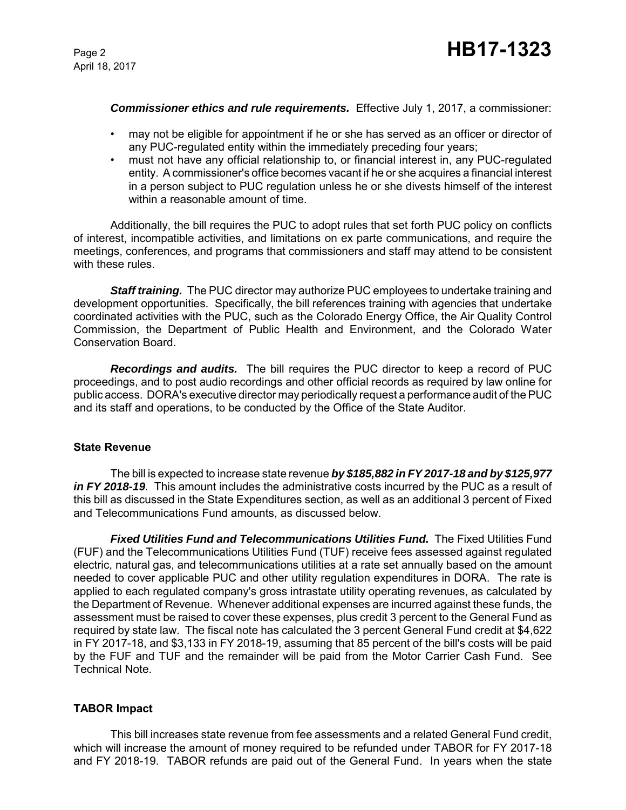April 18, 2017

#### *Commissioner ethics and rule requirements.* Effective July 1, 2017, a commissioner:

- may not be eligible for appointment if he or she has served as an officer or director of any PUC-regulated entity within the immediately preceding four years;
- must not have any official relationship to, or financial interest in, any PUC-regulated entity. A commissioner's office becomes vacant if he or she acquires a financial interest in a person subject to PUC regulation unless he or she divests himself of the interest within a reasonable amount of time.

Additionally, the bill requires the PUC to adopt rules that set forth PUC policy on conflicts of interest, incompatible activities, and limitations on ex parte communications, and require the meetings, conferences, and programs that commissioners and staff may attend to be consistent with these rules.

*Staff training.* The PUC director may authorize PUC employees to undertake training and development opportunities. Specifically, the bill references training with agencies that undertake coordinated activities with the PUC, such as the Colorado Energy Office, the Air Quality Control Commission, the Department of Public Health and Environment, and the Colorado Water Conservation Board.

*Recordings and audits.* The bill requires the PUC director to keep a record of PUC proceedings, and to post audio recordings and other official records as required by law online for public access. DORA's executive director may periodically request a performance audit of the PUC and its staff and operations, to be conducted by the Office of the State Auditor.

#### **State Revenue**

The bill is expected to increase state revenue *by \$185,882 in FY 2017-18 and by \$125,977 in FY 2018-19.* This amount includes the administrative costs incurred by the PUC as a result of this bill as discussed in the State Expenditures section, as well as an additional 3 percent of Fixed and Telecommunications Fund amounts, as discussed below.

*Fixed Utilities Fund and Telecommunications Utilities Fund.* The Fixed Utilities Fund (FUF) and the Telecommunications Utilities Fund (TUF) receive fees assessed against regulated electric, natural gas, and telecommunications utilities at a rate set annually based on the amount needed to cover applicable PUC and other utility regulation expenditures in DORA. The rate is applied to each regulated company's gross intrastate utility operating revenues, as calculated by the Department of Revenue. Whenever additional expenses are incurred against these funds, the assessment must be raised to cover these expenses, plus credit 3 percent to the General Fund as required by state law. The fiscal note has calculated the 3 percent General Fund credit at \$4,622 in FY 2017-18, and \$3,133 in FY 2018-19, assuming that 85 percent of the bill's costs will be paid by the FUF and TUF and the remainder will be paid from the Motor Carrier Cash Fund. See Technical Note.

#### **TABOR Impact**

This bill increases state revenue from fee assessments and a related General Fund credit, which will increase the amount of money required to be refunded under TABOR for FY 2017-18 and FY 2018-19. TABOR refunds are paid out of the General Fund. In years when the state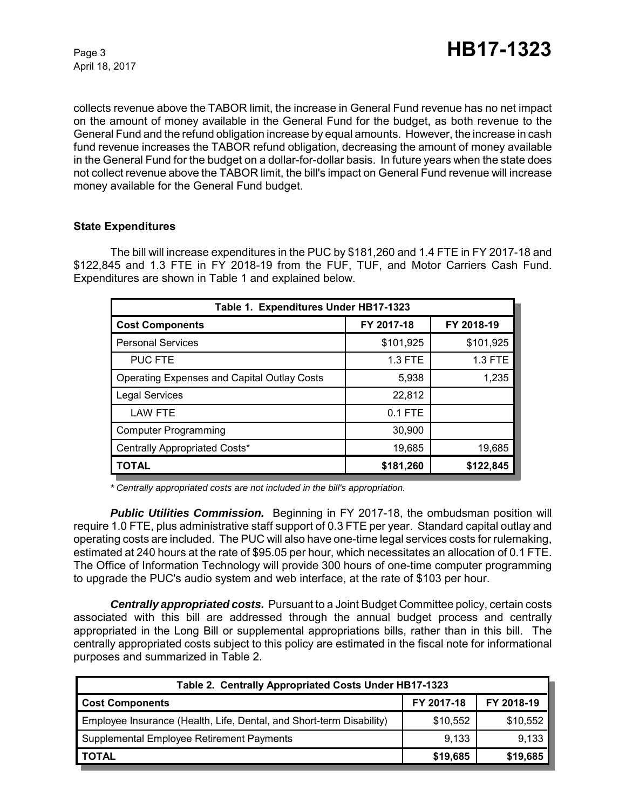collects revenue above the TABOR limit, the increase in General Fund revenue has no net impact on the amount of money available in the General Fund for the budget, as both revenue to the General Fund and the refund obligation increase by equal amounts. However, the increase in cash fund revenue increases the TABOR refund obligation, decreasing the amount of money available in the General Fund for the budget on a dollar-for-dollar basis. In future years when the state does not collect revenue above the TABOR limit, the bill's impact on General Fund revenue will increase money available for the General Fund budget.

#### **State Expenditures**

The bill will increase expenditures in the PUC by \$181,260 and 1.4 FTE in FY 2017-18 and \$122,845 and 1.3 FTE in FY 2018-19 from the FUF, TUF, and Motor Carriers Cash Fund. Expenditures are shown in Table 1 and explained below.

| Table 1. Expenditures Under HB17-1323              |            |                |  |  |  |
|----------------------------------------------------|------------|----------------|--|--|--|
| <b>Cost Components</b>                             | FY 2017-18 | FY 2018-19     |  |  |  |
| <b>Personal Services</b>                           | \$101,925  | \$101,925      |  |  |  |
| <b>PUC FTE</b>                                     | 1.3 FTE    | <b>1.3 FTE</b> |  |  |  |
| <b>Operating Expenses and Capital Outlay Costs</b> | 5,938      | 1,235          |  |  |  |
| <b>Legal Services</b>                              | 22,812     |                |  |  |  |
| <b>LAW FTE</b>                                     | $0.1$ FTE  |                |  |  |  |
| <b>Computer Programming</b>                        | 30,900     |                |  |  |  |
| Centrally Appropriated Costs*                      | 19,685     | 19,685         |  |  |  |
| <b>TOTAL</b>                                       | \$181,260  | \$122,845      |  |  |  |

*\* Centrally appropriated costs are not included in the bill's appropriation.*

*Public Utilities Commission.* Beginning in FY 2017-18, the ombudsman position will require 1.0 FTE, plus administrative staff support of 0.3 FTE per year. Standard capital outlay and operating costs are included. The PUC will also have one-time legal services costs for rulemaking, estimated at 240 hours at the rate of \$95.05 per hour, which necessitates an allocation of 0.1 FTE. The Office of Information Technology will provide 300 hours of one-time computer programming to upgrade the PUC's audio system and web interface, at the rate of \$103 per hour.

*Centrally appropriated costs.* Pursuant to a Joint Budget Committee policy, certain costs associated with this bill are addressed through the annual budget process and centrally appropriated in the Long Bill or supplemental appropriations bills, rather than in this bill. The centrally appropriated costs subject to this policy are estimated in the fiscal note for informational purposes and summarized in Table 2.

| Table 2. Centrally Appropriated Costs Under HB17-1323                |            |            |  |  |  |
|----------------------------------------------------------------------|------------|------------|--|--|--|
| <b>Cost Components</b>                                               | FY 2017-18 | FY 2018-19 |  |  |  |
| Employee Insurance (Health, Life, Dental, and Short-term Disability) | \$10.552   | \$10,552   |  |  |  |
| Supplemental Employee Retirement Payments                            | 9,133      | 9,133      |  |  |  |
| <b>TOTAL</b>                                                         | \$19,685   | \$19,685   |  |  |  |